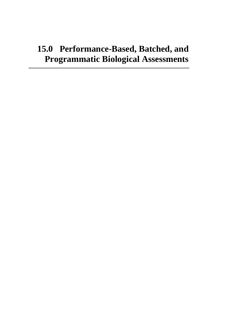# **15.0 Performance-Based, Batched, and Programmatic Biological Assessments**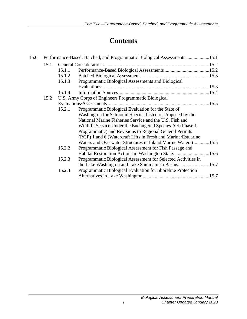# **Contents**

| 15.0 | Performance-Based, Batched, and Programmatic Biological Assessments 15.1 |                                                      |                                                               |  |
|------|--------------------------------------------------------------------------|------------------------------------------------------|---------------------------------------------------------------|--|
|      | 15.1                                                                     |                                                      |                                                               |  |
|      |                                                                          | 15.1.1                                               |                                                               |  |
|      |                                                                          | 15.1.2                                               |                                                               |  |
|      |                                                                          | 15.1.3                                               | Programmatic Biological Assessments and Biological            |  |
|      |                                                                          |                                                      |                                                               |  |
|      |                                                                          | 15.1.4                                               |                                                               |  |
|      | 15.2                                                                     | U.S. Army Corps of Engineers Programmatic Biological |                                                               |  |
|      |                                                                          |                                                      |                                                               |  |
|      |                                                                          | 15.2.1                                               | Programmatic Biological Evaluation for the State of           |  |
|      |                                                                          |                                                      | Washington for Salmonid Species Listed or Proposed by the     |  |
|      |                                                                          |                                                      | National Marine Fisheries Service and the U.S. Fish and       |  |
|      |                                                                          |                                                      | Wildlife Service Under the Endangered Species Act (Phase 1)   |  |
|      |                                                                          |                                                      | Programmatic) and Revisions to Regional General Permits       |  |
|      |                                                                          |                                                      | (RGP) 1 and 6 (Watercraft Lifts in Fresh and Marine/Estuarine |  |
|      |                                                                          |                                                      | Waters and Overwater Structures in Inland Marine Waters)15.5  |  |
|      |                                                                          | 15.2.2                                               | Programmatic Biological Assessment for Fish Passage and       |  |
|      |                                                                          |                                                      | Habitat Restoration Actions in Washington State15.6           |  |
|      |                                                                          | 15.2.3                                               | Programmatic Biological Assessment for Selected Activities in |  |
|      |                                                                          |                                                      |                                                               |  |
|      |                                                                          | 15.2.4                                               | Programmatic Biological Evaluation for Shoreline Protection   |  |
|      |                                                                          |                                                      |                                                               |  |
|      |                                                                          |                                                      |                                                               |  |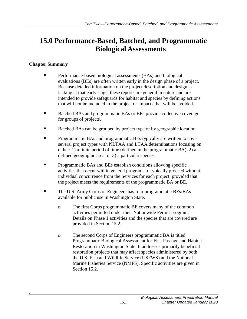# <span id="page-4-0"></span>**15.0 Performance-Based, Batched, and Programmatic Biological Assessments**

### **Chapter Summary**

*1*

- Performance-based biological assessments (BAs) and biological evaluations (BEs) are often written early in the design phase of a project. Because detailed information on the project description and design is lacking at that early stage, these reports are general in nature and are intended to provide safeguards for habitat and species by defining actions that will not be included in the project or impacts that will be avoided.
- Batched BAs and programmatic BAs or BEs provide collective coverage for groups of projects.
- Batched BAs can be grouped by project type or by geographic location.
- **Programmatic BAs and programmatic BEs typically are written to cover** several project types with NLTAA and LTAA determinations focusing on either: 1) a finite period of time (defined in the programmatic BA), 2) a defined geographic area, or 3) a particular species.
- **Programmatic BAs and BEs establish conditions allowing specific** activities that occur within general programs to typically proceed without individual concurrence from the Services for each project, provided that the project meets the requirements of the programmatic BA or BE.
- The U.S. Army Corps of Engineers has four programmatic BEs/BAs available for public use in Washington State.
	- The first Corps programmatic BE covers many of the common activities permitted under their Nationwide Permit program. Details on Phase 1 activities and the species that are covered are provided in Section 15.2.
	- The second Corps of Engineers programmatic BA is titled: Programmatic Biological Assessment for Fish Passage and Habitat Restoration in Washington State. It addresses primarily beneficial restoration projects that may affect species administered by both the U.S. Fish and Wildlife Service (USFWS) and the National Marine Fisheries Service (NMFS). Specific activities are given in Section 15.2.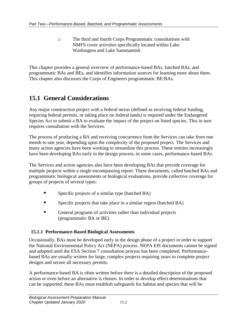The third and fourth Corps Programmatic consultations with NMFS cover activities specifically located within Lake Washington and Lake Sammamish.

This chapter provides a general overview of performance-based BAs, batched BAs, and programmatic BAs and BEs, and identifies information sources for learning more about them. This chapter also discusses the Corps of Engineers programmatic BE/BAs.

# <span id="page-5-0"></span>**15.1 General Considerations**

Any major construction project with a federal nexus (defined as receiving federal funding, requiring federal permits, or taking place on federal lands) is required under the Endangered Species Act to submit a BA to evaluate the impact of the project on listed species. This in turn requires consultation with the Services.

The process of producing a BA and receiving concurrence from the Services can take from one month to one year, depending upon the complexity of the proposed project. The Services and many action agencies have been working to streamline this process. These entities increasingly have been developing BAs early in the design process, in some cases, performance-based BAs.

The Services and action agencies also have been developing BAs that provide coverage for multiple projects within a single encompassing report. These documents, called batched BAs and programmatic biological assessments or biological evaluations, provide collective coverage for groups of projects of several types:

- Specific projects of a similar type (batched BA)
- Specific projects that take place in a similar region (batched BA)
- General programs of activities rather than individual projects (programmatic BA or BE).

### <span id="page-5-1"></span>**15.1.1 Performance-Based Biological Assessments**

Occasionally, BAs must be developed early in the design phase of a project in order to support the National Environmental Policy Act (NEPA) process. NEPA EIS documents cannot be signed and adopted until the ESA Section 7 consultation process has been completed. Performancebased BAs are usually written for large, complex projects requiring years to complete project designs and secure all necessary permits.

A performance-based BA is often written before there is a detailed description of the proposed action or even before an alternative is chosen. In order to develop effect determinations that can be supported, these BAs must establish safeguards for habitat and species that will be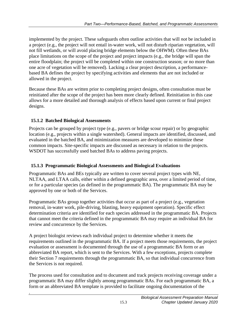implemented by the project. These safeguards often outline activities that will *not* be included in a project (e.g., the project will not entail in-water work, will not disturb riparian vegetation, will not fill wetlands, or will avoid placing bridge elements below the OHWM). Often these BAs place limitations on the scope of the project and project impacts (e.g., the bridge will span the entire floodplain; the project will be completed within one construction season; or no more than one acre of vegetation will be removed). Lacking a clear project description, a performancebased BA defines the project by specifying activities and elements that are not included or allowed in the project.

Because these BAs are written prior to completing project designs, often consultation must be reinitiated after the scope of the project has been more clearly defined. Reinitiation in this case allows for a more detailed and thorough analysis of effects based upon current or final project designs.

## <span id="page-6-0"></span>**15.1.2 Batched Biological Assessments**

*1*

Projects can be grouped by project type (e.g., pavers or bridge scour repair) or by geographic location (e.g., projects within a single watershed). General impacts are identified, discussed, and evaluated in the batched BA, and minimization measures are developed to minimize these common impacts. Site-specific impacts are discussed as necessary in relation to the projects. WSDOT has successfully used batched BAs to address paving projects.

## <span id="page-6-1"></span>**15.1.3 Programmatic Biological Assessments and Biological Evaluations**

Programmatic BAs and BEs typically are written to cover several project types with NE, NLTAA, and LTAA calls, either within a defined geographic area, over a limited period of time, or for a particular species (as defined in the programmatic BA). The programmatic BA may be approved by one or both of the Services.

Programmatic BAs group together activities that occur as part of a project (e.g., vegetation removal, in-water work, pile-driving, blasting, heavy equipment operation). Specific effect determination criteria are identified for each species addressed in the programmatic BA. Projects that cannot meet the criteria defined in the programmatic BA may require an individual BA for review and concurrence by the Services.

A project biologist reviews each individual project to determine whether it meets the requirements outlined in the programmatic BA. If a project meets those requirements, the project evaluation or assessment is documented through the use of a programmatic BA form or an abbreviated BA report, which is sent to the Services. With a few exceptions, projects complete their Section 7 requirements through the programmatic BA, so that individual concurrence from the Services is not required.

The process used for consultation and to document and track projects receiving coverage under a programmatic BA may differ slightly among programmatic BAs. For each programmatic BA, a form or an abbreviated BA template is provided to facilitate ongoing documentation of the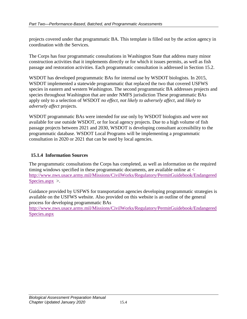projects covered under that programmatic BA. This template is filled out by the action agency in coordination with the Services.

The Corps has four programmatic consultations in Washington State that address many minor construction activities that it implements directly or for which it issues permits, as well as fish passage and restoration activities. Each programmatic consultation is addressed in Section 15.2.

WSDOT has developed programmatic BAs for internal use by WSDOT biologists. In 2015, WSDOT implemented a statewide programmatic that replaced the two that covered USFWS species in eastern and western Washington. The second programmatic BA addresses projects and species throughout Washington that are under NMFS jurisdiction These programmatic BAs apply only to a selection of WSDOT *no effect*, *not likely to adversely affect*, and *likely to adversely affect* projects.

WSDOT programmatic BAs were intended for use only by WSDOT biologists and were not available for use outside WSDOT, or for local agency projects. Due to a high volume of fish passage projects between 2021 and 2030, WSDOT is developing consultant accessibility to the programmatic database. WSDOT Local Programs will be implementing a programmatic consultation in 2020 or 2021 that can be used by local agencies.

### <span id="page-7-0"></span>**15.1.4 Information Sources**

The programmatic consultations the Corps has completed, as well as information on the required timing windows specified in these programmatic documents, are available online at < [http://www.nws.usace.army.mil/Missions/CivilWorks/Regulatory/PermitGuidebook/Endangered](http://www.nws.usace.army.mil/Missions/CivilWorks/Regulatory/PermitGuidebook/EndangeredSpecies.aspx) [Species.aspx](http://www.nws.usace.army.mil/Missions/CivilWorks/Regulatory/PermitGuidebook/EndangeredSpecies.aspx) >.

Guidance provided by USFWS for transportation agencies developing programmatic strategies is available on the USFWS website. Also provided on this website is an outline of the general process for developing programmatic BAs

[http://www.nws.usace.army.mil/Missions/CivilWorks/Regulatory/PermitGuidebook/Endangered](http://www.nws.usace.army.mil/Missions/CivilWorks/Regulatory/PermitGuidebook/EndangeredSpecies.aspx) [Species.aspx](http://www.nws.usace.army.mil/Missions/CivilWorks/Regulatory/PermitGuidebook/EndangeredSpecies.aspx)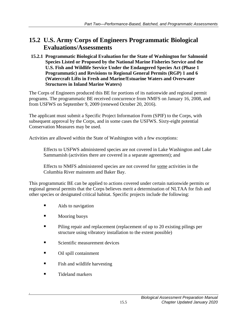# <span id="page-8-0"></span>**15.2 U.S. Army Corps of Engineers Programmatic Biological Evaluations/Assessments**

<span id="page-8-1"></span>**15.2.1 Programmatic Biological Evaluation for the State of Washington for Salmonid Species Listed or Proposed by the National Marine Fisheries Service and the U.S. Fish and Wildlife Service Under the Endangered Species Act (Phase 1 Programmatic) and Revisions to Regional General Permits (RGP) 1 and 6 (Watercraft Lifts in Fresh and Marine/Estuarine Waters and Overwater Structures in Inland Marine Waters)**

The Corps of Engineers produced this BE for portions of its nationwide and regional permit programs. The programmatic BE received concurrence from NMFS on January 16, 2008, and from USFWS on September 9, 2009 (renewed October 20, 2016).

The applicant must submit a Specific Project Information Form (SPIF) to the Corps, with subsequent approval by the Corps, and in some cases the USFWS. Sixty-eight potential Conservation Measures may be used.

Activities are allowed within the State of Washington with a few exceptions:

Effects to USFWS administered species are not covered in Lake Washington and Lake Sammamish (activities there are covered in a separate agreement); and

Effects to NMFS administered species are not covered for some activities in the Columbia River mainstem and Baker Bay.

This programmatic BE can be applied to actions covered under certain nationwide permits or regional general permits that the Corps believes merit a determination of NLTAA for fish and other species or designated critical habitat. Specific projects include the following:

- **Aids to navigation**
- **Nooring buoys**
- **Piling repair and replacement (replacement of up to 20 existing pilings per** structure using vibratory installation to the extent possible)
- Scientific measurement devices
- Oil spill containment
- **Fish and wildlife harvesting**
- Tideland markers

*1*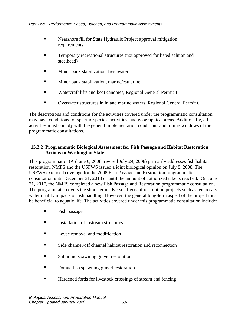- **Nearshore fill for State Hydraulic Project approval mitigation** requirements
- **Temporary recreational structures (not approved for listed salmon and** steelhead)
- **Minor bank stabilization, freshwater**
- **Minor bank stabilization, marine/estuarine**
- Watercraft lifts and boat canopies, Regional General Permit 1
- Overwater structures in inland marine waters, Regional General Permit 6

The descriptions and conditions for the activities covered under the programmatic consultation may have conditions for specific species, activities, and geographical areas. Additionally, all activities must comply with the general implementation conditions and timing windows of the programmatic consultations.

#### <span id="page-9-0"></span>**15.2.2 Programmatic Biological Assessment for Fish Passage and Habitat Restoration Actions in Washington State**

This programmatic BA (June 6, 2008; revised July 29, 2008) primarily addresses fish habitat restoration. NMFS and the USFWS issued a joint biological opinion on July 8, 2008. The USFWS extended coverage for the 2008 Fish Passage and Restoration programmatic consultation until December 31, 2018 or until the amount of authorized take is reached. On June 21, 2017, the NMFS completed a new Fish Passage and Restoration programmatic consultation. The programmatic covers the short-term adverse effects of restoration projects such as temporary water quality impacts or fish handling. However, the general long-term aspect of the project must be beneficial to aquatic life. The activities covered under this programmatic consultation include:

- $\blacksquare$  Fish passage
- **Installation of instream structures**
- $\blacksquare$  Levee removal and modification
- Side channel/off channel habitat restoration and reconnection
- Salmonid spawning gravel restoration
- **Forage fish spawning gravel restoration**
- Hardened fords for livestock crossings of stream and fencing